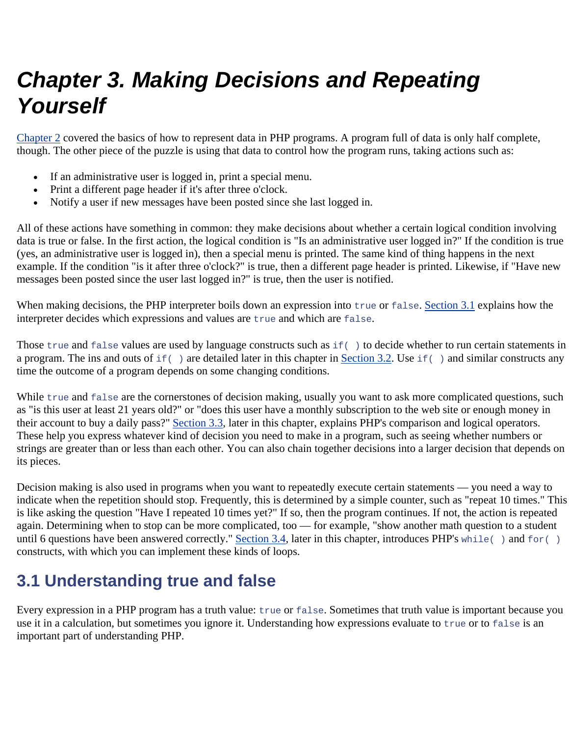# *Chapter 3. Making Decisions and Repeating Yourself*

Chapter 2 covered the basics of how to represent data in PHP programs. A program full of data is only half complete, though. The other piece of the puzzle is using that data to control how the program runs, taking actions such as:

- If an administrative user is logged in, print a special menu.
- Print a different page header if it's after three o'clock.
- Notify a user if new messages have been posted since she last logged in.

All of these actions have something in common: they make decisions about whether a certain logical condition involving data is true or false. In the first action, the logical condition is "Is an administrative user logged in?" If the condition is true (yes, an administrative user is logged in), then a special menu is printed. The same kind of thing happens in the next example. If the condition "is it after three o'clock?" is true, then a different page header is printed. Likewise, if "Have new messages been posted since the user last logged in?" is true, then the user is notified.

When making decisions, the PHP interpreter boils down an expression into true or false. Section 3.1 explains how the interpreter decides which expressions and values are true and which are false.

Those true and false values are used by language constructs such as if() to decide whether to run certain statements in a program. The ins and outs of  $if( )$  are detailed later in this chapter in Section 3.2. Use  $if( )$  and similar constructs any time the outcome of a program depends on some changing conditions.

While true and false are the cornerstones of decision making, usually you want to ask more complicated questions, such as "is this user at least 21 years old?" or "does this user have a monthly subscription to the web site or enough money in their account to buy a daily pass?" Section 3.3, later in this chapter, explains PHP's comparison and logical operators. These help you express whatever kind of decision you need to make in a program, such as seeing whether numbers or strings are greater than or less than each other. You can also chain together decisions into a larger decision that depends on its pieces.

Decision making is also used in programs when you want to repeatedly execute certain statements — you need a way to indicate when the repetition should stop. Frequently, this is determined by a simple counter, such as "repeat 10 times." This is like asking the question "Have I repeated 10 times yet?" If so, then the program continues. If not, the action is repeated again. Determining when to stop can be more complicated, too — for example, "show another math question to a student until 6 questions have been answered correctly." Section 3.4, later in this chapter, introduces PHP's while() and for() constructs, with which you can implement these kinds of loops.

# **3.1 Understanding true and false**

Every expression in a PHP program has a truth value: true or false. Sometimes that truth value is important because you use it in a calculation, but sometimes you ignore it. Understanding how expressions evaluate to true or to false is an important part of understanding PHP.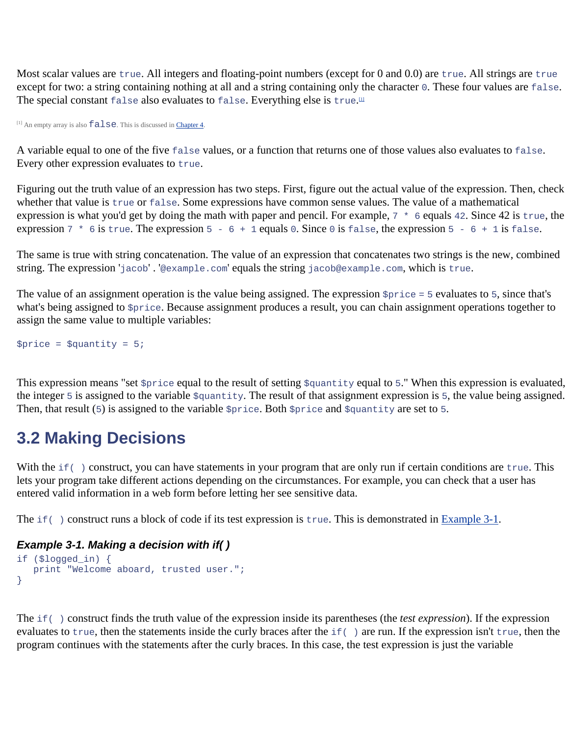Most scalar values are true. All integers and floating-point numbers (except for 0 and 0.0) are true. All strings are true except for two: a string containing nothing at all and a string containing only the character 0. These four values are false. The special constant false also evaluates to false. Everything else is true.<sup>111</sup>

 $[1]$  An empty array is also  $false$ . This is discussed in Chapter 4.

A variable equal to one of the five false values, or a function that returns one of those values also evaluates to false. Every other expression evaluates to true.

Figuring out the truth value of an expression has two steps. First, figure out the actual value of the expression. Then, check whether that value is true or false. Some expressions have common sense values. The value of a mathematical expression is what you'd get by doing the math with paper and pencil. For example,  $7 * 6$  equals 42. Since 42 is true, the expression  $7 * 6$  is true. The expression  $5 - 6 + 1$  equals 0. Since 0 is false, the expression  $5 - 6 + 1$  is false.

The same is true with string concatenation. The value of an expression that concatenates two strings is the new, combined string. The expression 'jacob' . '@example.com' equals the string jacob@example.com, which is true.

The value of an assignment operation is the value being assigned. The expression  $\frac{1}{2}$ price = 5 evaluates to 5, since that's what's being assigned to  $\frac{1}{2}$  because assignment produces a result, you can chain assignment operations together to assign the same value to multiple variables:

 $$price = $quantity = 5;$ 

This expression means "set  $\frac{1}{2}$  price equal to the result of setting  $\frac{1}{2}$  quantity equal to 5." When this expression is evaluated, the integer 5 is assigned to the variable  $\frac{1}{2}$  antity. The result of that assignment expression is 5, the value being assigned. Then, that result (5) is assigned to the variable  $\frac{1}{2}$  price. Both  $\frac{1}{2}$  price and  $\frac{1}{2}$  quantity are set to 5.

# **3.2 Making Decisions**

With the  $if( )$  construct, you can have statements in your program that are only run if certain conditions are  $true$ . This lets your program take different actions depending on the circumstances. For example, you can check that a user has entered valid information in a web form before letting her see sensitive data.

The if( ) construct runs a block of code if its test expression is true. This is demonstrated in Example 3-1.

## *Example 3-1. Making a decision with if( )*

```
if ($logged_in) { 
  print "Welcome aboard, trusted user.";
}
```
The if( ) construct finds the truth value of the expression inside its parentheses (the *test expression*). If the expression evaluates to true, then the statements inside the curly braces after the if( ) are run. If the expression isn't true, then the program continues with the statements after the curly braces. In this case, the test expression is just the variable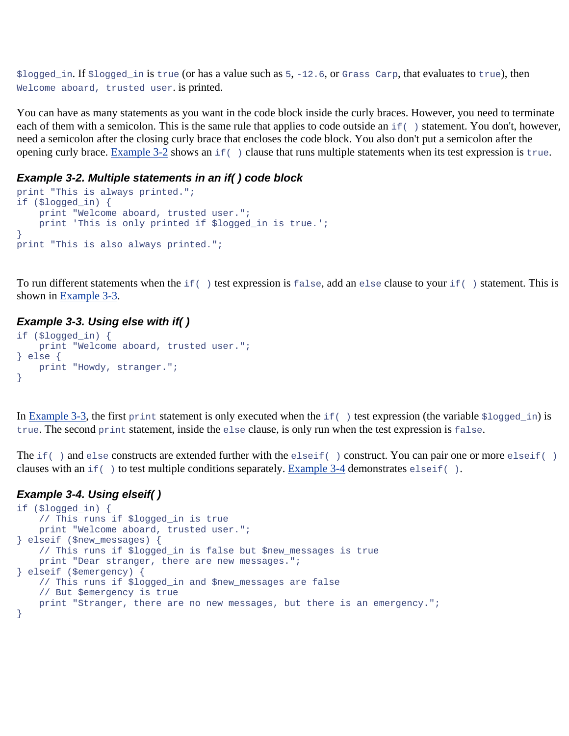\$logged\_in. If \$logged\_in is true (or has a value such as 5, -12.6, or Grass Carp, that evaluates to true), then Welcome aboard, trusted user. is printed.

You can have as many statements as you want in the code block inside the curly braces. However, you need to terminate each of them with a semicolon. This is the same rule that applies to code outside an if () statement. You don't, however, need a semicolon after the closing curly brace that encloses the code block. You also don't put a semicolon after the opening curly brace. Example 3-2 shows an  $if( )$  clause that runs multiple statements when its test expression is true.

#### *Example 3-2. Multiple statements in an if( ) code block*

```
print "This is always printed."; 
if ($logged_in) { 
     print "Welcome aboard, trusted user."; 
     print 'This is only printed if $logged_in is true.'; 
} 
print "This is also always printed.";
```
To run different statements when the  $if( )$  test expression is false, add an else clause to your  $if( )$  statement. This is shown in Example 3-3.

### *Example 3-3. Using else with if( )*

```
if ($logged_in) { 
     print "Welcome aboard, trusted user."; 
} else { 
     print "Howdy, stranger."; 
}
```
In Example 3-3, the first print statement is only executed when the  $if( )$  test expression (the variable  $$logged_in)$  is true. The second print statement, inside the else clause, is only run when the test expression is false.

The if( ) and else constructs are extended further with the elseif( ) construct. You can pair one or more elseif( ) clauses with an  $if( )$  to test multiple conditions separately. Example 3-4 demonstrates elseif().

#### *Example 3-4. Using elseif( )*

```
if ($logged_in) { 
     // This runs if $logged_in is true 
    print "Welcome aboard, trusted user."; 
} elseif ($new_messages) { 
     // This runs if $logged_in is false but $new_messages is true 
    print "Dear stranger, there are new messages."; 
} elseif ($emergency) { 
     // This runs if $logged_in and $new_messages are false 
     // But $emergency is true 
    print "Stranger, there are no new messages, but there is an emergency."; 
}
```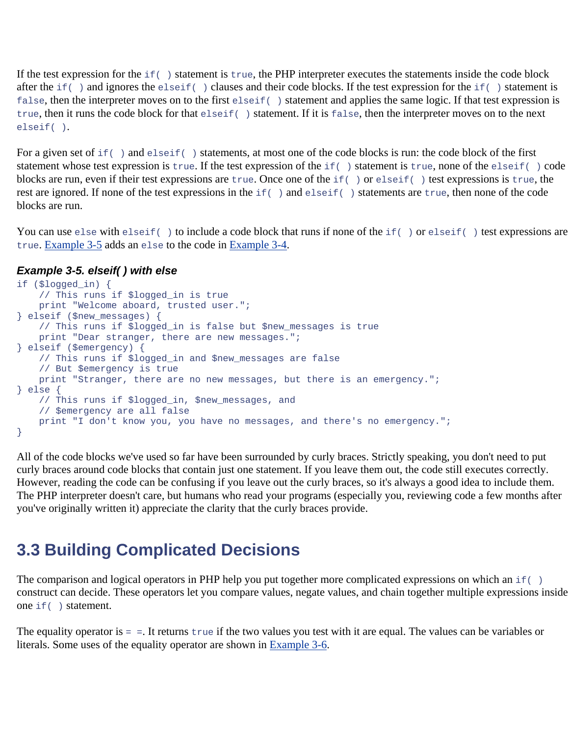If the test expression for the  $if( )$  statement is  $true,$  the PHP interpreter executes the statements inside the code block after the  $if( )$  and ignores the elseif( ) clauses and their code blocks. If the test expression for the  $if( )$  statement is false, then the interpreter moves on to the first elseif( ) statement and applies the same logic. If that test expression is true, then it runs the code block for that elseif( ) statement. If it is false, then the interpreter moves on to the next elseif( ).

For a given set of if( ) and elseif( ) statements, at most one of the code blocks is run: the code block of the first statement whose test expression is true. If the test expression of the if( ) statement is true, none of the elseif( ) code blocks are run, even if their test expressions are true. Once one of the if( ) or elseif( ) test expressions is true, the rest are ignored. If none of the test expressions in the if( ) and elseif( ) statements are true, then none of the code blocks are run.

You can use else with elseif() to include a code block that runs if none of the if() or elseif() test expressions are true. Example 3-5 adds an else to the code in Example 3-4.

## *Example 3-5. elseif( ) with else*

```
if ($logged_in) { 
     // This runs if $logged_in is true 
    print "Welcome aboard, trusted user."; 
} elseif ($new_messages) { 
    // This runs if $logged_in is false but $new_messages is true 
   print "Dear stranger, there are new messages.";
} elseif ($emergency) { 
    // This runs if $logged_in and $new_messages are false 
    // But $emergency is true 
    print "Stranger, there are no new messages, but there is an emergency."; 
} else { 
    // This runs if $logged_in, $new_messages, and 
    // $emergency are all false 
    print "I don't know you, you have no messages, and there's no emergency."; 
}
```
All of the code blocks we've used so far have been surrounded by curly braces. Strictly speaking, you don't need to put curly braces around code blocks that contain just one statement. If you leave them out, the code still executes correctly. However, reading the code can be confusing if you leave out the curly braces, so it's always a good idea to include them. The PHP interpreter doesn't care, but humans who read your programs (especially you, reviewing code a few months after you've originally written it) appreciate the clarity that the curly braces provide.

# **3.3 Building Complicated Decisions**

The comparison and logical operators in PHP help you put together more complicated expressions on which an  $if( )$ construct can decide. These operators let you compare values, negate values, and chain together multiple expressions inside one if( ) statement.

The equality operator is = =. It returns true if the two values you test with it are equal. The values can be variables or literals. Some uses of the equality operator are shown in Example 3-6.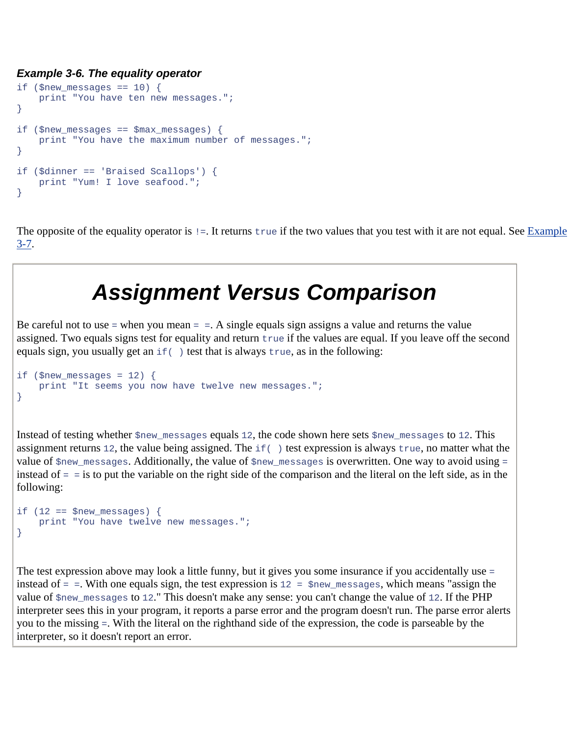### *Example 3-6. The equality operator*

```
if ($new messages == 10) {
     print "You have ten new messages."; 
} 
if ($new messages == $max messages) {
     print "You have the maximum number of messages."; 
} 
if ($dinner == 'Braised Scallops') { 
     print "Yum! I love seafood."; 
}
```
The opposite of the equality operator is  $=$ . It returns true if the two values that you test with it are not equal. See Example 3-7.

# *Assignment Versus Comparison*

Be careful not to use  $=$  when you mean  $=$   $=$ . A single equals sign assigns a value and returns the value assigned. Two equals signs test for equality and return true if the values are equal. If you leave off the second equals sign, you usually get an  $if( )$  test that is always  $true$ , as in the following:

```
if ($new_messages = 12) {
    print "It seems you now have twelve new messages."; 
}
```
Instead of testing whether  $\gamma_{\text{new\_messages}}$  equals 12, the code shown here sets  $\gamma_{\text{new\_messages}}$  to 12. This assignment returns 12, the value being assigned. The if( ) test expression is always true, no matter what the value of \$new\_messages. Additionally, the value of \$new\_messages is overwritten. One way to avoid using = instead of = = is to put the variable on the right side of the comparison and the literal on the left side, as in the following:

```
if (12 == $new_messages) {
    print "You have twelve new messages."; 
}
```
The test expression above may look a little funny, but it gives you some insurance if you accidentally use = instead of = =. With one equals sign, the test expression is 12 = \$new\_messages, which means "assign the value of  $$new\_messages$  to 12." This doesn't make any sense: you can't change the value of 12. If the PHP interpreter sees this in your program, it reports a parse error and the program doesn't run. The parse error alerts you to the missing =. With the literal on the righthand side of the expression, the code is parseable by the interpreter, so it doesn't report an error.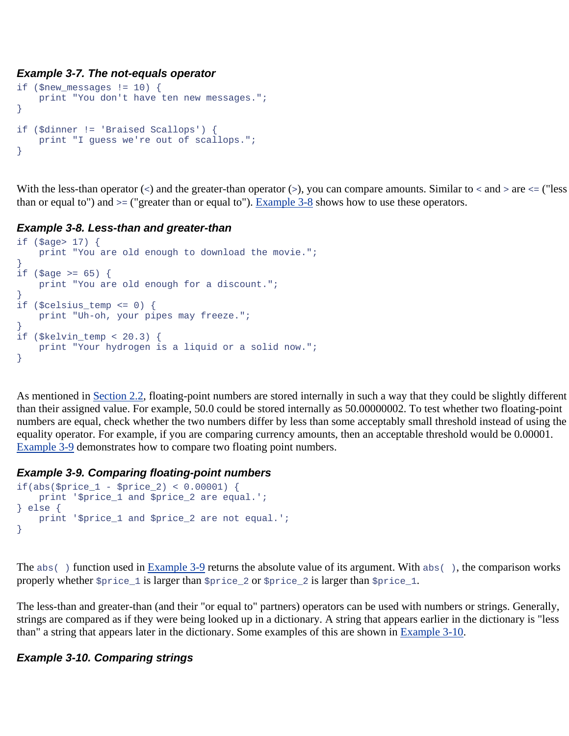## *Example 3-7. The not-equals operator*

```
if ($new_messages != 10) { 
     print "You don't have ten new messages."; 
} 
if ($dinner != 'Braised Scallops') { 
    print "I guess we're out of scallops."; 
}
```
With the less-than operator  $(\le)$  and the greater-than operator  $(\le)$ , you can compare amounts. Similar to  $\le$  and  $\ge$  are  $\le$  ("less than or equal to") and >= ("greater than or equal to"). Example 3-8 shows how to use these operators.

# *Example 3-8. Less-than and greater-than*

```
if ($age> 17) { 
     print "You are old enough to download the movie."; 
} 
if (\text{Page} > = 65) {
     print "You are old enough for a discount."; 
} 
if ($celsius_temp <= 0) { 
    print "Uh-oh, your pipes may freeze."; 
} 
if ($kelvin_temp < 20.3) { 
     print "Your hydrogen is a liquid or a solid now."; 
}
```
As mentioned in Section 2.2, floating-point numbers are stored internally in such a way that they could be slightly different than their assigned value. For example, 50.0 could be stored internally as 50.00000002. To test whether two floating-point numbers are equal, check whether the two numbers differ by less than some acceptably small threshold instead of using the equality operator. For example, if you are comparing currency amounts, then an acceptable threshold would be 0.00001. Example 3-9 demonstrates how to compare two floating point numbers.

# *Example 3-9. Comparing floating-point numbers*

```
if(abs($price 1 - $price 2) < 0.00001) {
   print '$price 1 and $price 2 are equal.';
} else { 
    print '$price_1 and $price_2 are not equal.'; 
}
```
The  $abs( )$  function used in Example 3-9 returns the absolute value of its argument. With  $abs( )$ , the comparison works properly whether  $\text{sprice}\_1$  is larger than  $\text{sprice}\_2$  or  $\text{sprice}\_2$  is larger than  $\text{sprice}\_1$ .

The less-than and greater-than (and their "or equal to" partners) operators can be used with numbers or strings. Generally, strings are compared as if they were being looked up in a dictionary. A string that appears earlier in the dictionary is "less than" a string that appears later in the dictionary. Some examples of this are shown in Example 3-10.

# *Example 3-10. Comparing strings*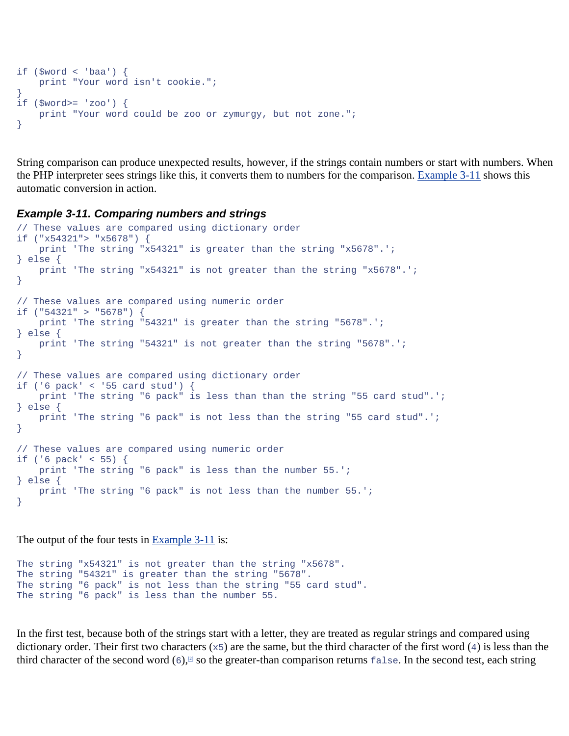```
if (\text{Sword} < \text{'baa'}) {
     print "Your word isn't cookie."; 
} 
if ($word>= 'zoo') { 
     print "Your word could be zoo or zymurgy, but not zone."; 
}
```
String comparison can produce unexpected results, however, if the strings contain numbers or start with numbers. When the PHP interpreter sees strings like this, it converts them to numbers for the comparison. Example 3-11 shows this automatic conversion in action.

#### *Example 3-11. Comparing numbers and strings*

```
// These values are compared using dictionary order 
if ("x54321"> "x5678") { 
    print 'The string "x54321" is greater than the string "x5678".'; 
} else { 
    print 'The string "x54321" is not greater than the string "x5678".'; 
} 
// These values are compared using numeric order 
if ("54321" > "5678") { 
    print 'The string "54321" is greater than the string "5678".'; 
} else { 
    print 'The string "54321" is not greater than the string "5678".'; 
} 
// These values are compared using dictionary order 
if ('6 pack' < '55 card stud') { 
    print 'The string "6 pack" is less than than the string "55 card stud".'; 
} else { 
    print 'The string "6 pack" is not less than the string "55 card stud".'; 
} 
// These values are compared using numeric order 
if ('6 pack' < 55) { 
    print 'The string "6 pack" is less than the number 55.'; 
} else { 
    print 'The string "6 pack" is not less than the number 55.'; 
}
```
The output of the four tests in Example 3-11 is:

```
The string "x54321" is not greater than the string "x5678". 
The string "54321" is greater than the string "5678". 
The string "6 pack" is not less than the string "55 card stud". 
The string "6 pack" is less than the number 55.
```
In the first test, because both of the strings start with a letter, they are treated as regular strings and compared using dictionary order. Their first two characters ( $\times$ 5) are the same, but the third character of the first word (4) is less than the third character of the second word  $(6)$ ,  $\Box$  so the greater-than comparison returns false. In the second test, each string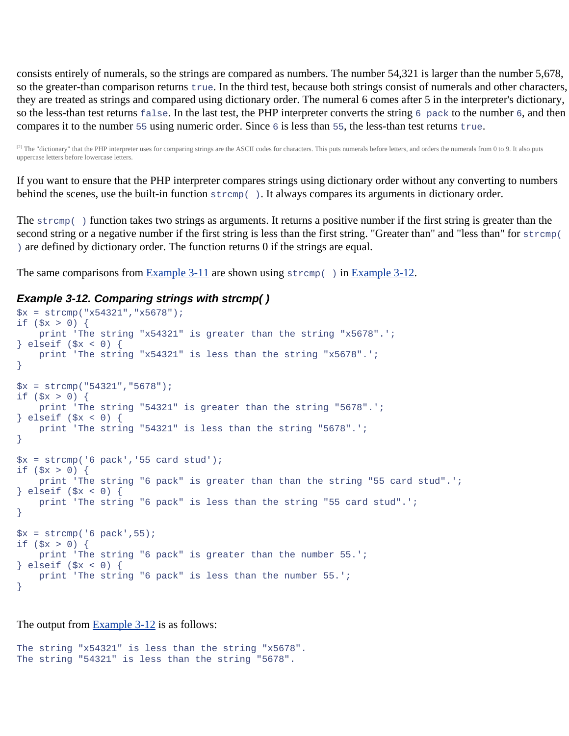consists entirely of numerals, so the strings are compared as numbers. The number 54,321 is larger than the number 5,678, so the greater-than comparison returns true. In the third test, because both strings consist of numerals and other characters, they are treated as strings and compared using dictionary order. The numeral 6 comes after 5 in the interpreter's dictionary, so the less-than test returns false. In the last test, the PHP interpreter converts the string 6 pack to the number 6, and then compares it to the number 55 using numeric order. Since  $6$  is less than 55, the less-than test returns true.

<sup>[2]</sup> The "dictionary" that the PHP interpreter uses for comparing strings are the ASCII codes for characters. This puts numerals before letters, and orders the numerals from 0 to 9. It also puts uppercase letters before lowercase letters.

If you want to ensure that the PHP interpreter compares strings using dictionary order without any converting to numbers behind the scenes, use the built-in function  $stromp( )$ . It always compares its arguments in dictionary order.

The strcmp() function takes two strings as arguments. It returns a positive number if the first string is greater than the second string or a negative number if the first string is less than the first string. "Greater than" and "less than" for strcmp( ) are defined by dictionary order. The function returns 0 if the strings are equal.

The same comparisons from Example 3-11 are shown using  $stromp( )$  in Example 3-12.

#### *Example 3-12. Comparing strings with strcmp( )*

```
$x = strcmp("x54321","x5678");
if (<math>\frac{1}{2}x > 0</math>) {
     print 'The string "x54321" is greater than the string "x5678".'; 
} elseif ($x < 0) { 
     print 'The string "x54321" is less than the string "x5678".'; 
} 
$x = strcmp("54321","5678");
if (<math>\$x > 0</math>) {
     print 'The string "54321" is greater than the string "5678".'; 
} elseif ($x < 0) { 
     print 'The string "54321" is less than the string "5678".'; 
} 
$x = strcmp('6 pack','55 card stud');
if (<math>\frac{5}{x} > 0</math>) {
     print 'The string "6 pack" is greater than than the string "55 card stud".'; 
} elseif ($x < 0) { 
     print 'The string "6 pack" is less than the string "55 card stud".'; 
} 
$x = strcmp('6 pack', 55);
if (<math>\frac{1}{2}x > 0</math>) {
     print 'The string "6 pack" is greater than the number 55.'; 
} elseif ($x < 0) { 
     print 'The string "6 pack" is less than the number 55.'; 
}
```
The output from Example 3-12 is as follows:

The string "x54321" is less than the string "x5678". The string "54321" is less than the string "5678".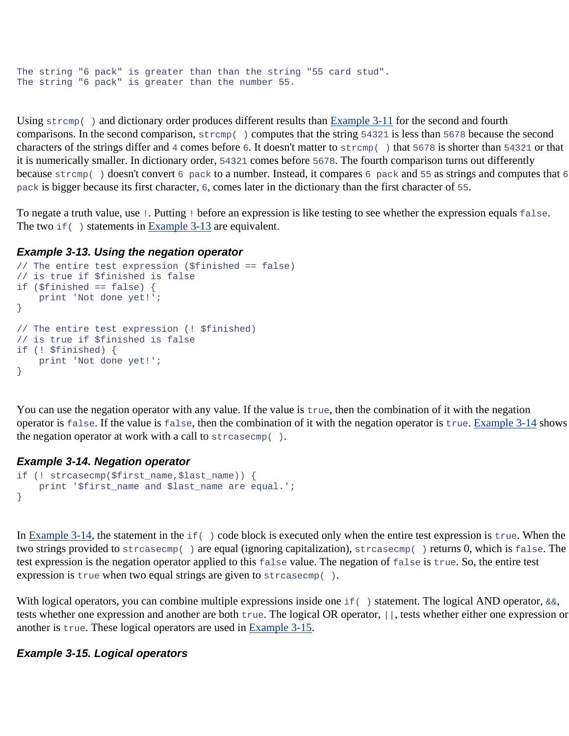```
The string "6 pack" is greater than than the string "55 card stud". 
The string "6 pack" is greater than the number 55.
```
Using  $stramp( )$  and dictionary order produces different results than Example 3-11 for the second and fourth comparisons. In the second comparison, strcmp( ) computes that the string 54321 is less than 5678 because the second characters of the strings differ and 4 comes before 6. It doesn't matter to strcmp( ) that 5678 is shorter than 54321 or that it is numerically smaller. In dictionary order, 54321 comes before 5678. The fourth comparison turns out differently because strcmp() doesn't convert 6 pack to a number. Instead, it compares 6 pack and 55 as strings and computes that 6 pack is bigger because its first character, 6, comes later in the dictionary than the first character of 55.

To negate a truth value, use !. Putting ! before an expression is like testing to see whether the expression equals false. The two  $if( )$  statements in Example 3-13 are equivalent.

### *Example 3-13. Using the negation operator*

```
// The entire test expression ($finished == false) 
// is true if $finished is false 
if ($finished == false) { 
    print 'Not done yet!'; 
} 
// The entire test expression (! $finished) 
// is true if $finished is false 
if (! $finished) { 
    print 'Not done yet!'; 
}
```
You can use the negation operator with any value. If the value is true, then the combination of it with the negation operator is false. If the value is false, then the combination of it with the negation operator is true. Example 3-14 shows the negation operator at work with a call to  $strcasecmp($  ).

### *Example 3-14. Negation operator*

```
if (! strcasecmp($first name,$last name)) {
    print '$first_name and $last_name are equal.'; 
}
```
In Example 3-14, the statement in the  $if( )$  code block is executed only when the entire test expression is true. When the two strings provided to strcasecmp( ) are equal (ignoring capitalization), strcasecmp( ) returns 0, which is false. The test expression is the negation operator applied to this false value. The negation of false is true. So, the entire test expression is true when two equal strings are given to streasecmp().

With logical operators, you can combine multiple expressions inside one  $if( )$  statement. The logical AND operator,  $&&s$ , tests whether one expression and another are both true. The logical OR operator, ||, tests whether either one expression or another is true. These logical operators are used in Example 3-15.

## *Example 3-15. Logical operators*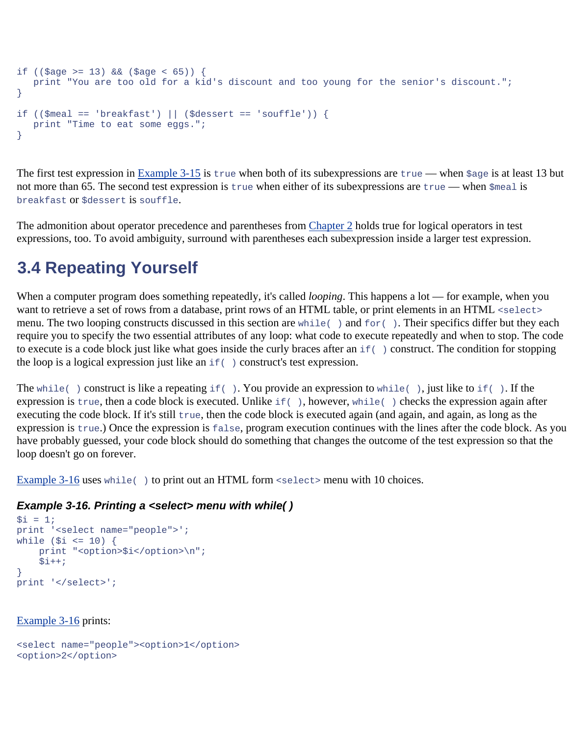```
if ((\frac{2}{3})^{\infty} >= 13) & (\frac{2}{3})^{\infty} ($age < 65)) {
    print "You are too old for a kid's discount and too young for the senior's discount."; 
} 
if ((\text{$mean == 'breakfast'}) || (\text{$density == 'soufile'})) {
    print "Time to eat some eggs."; 
}
```
The first test expression in  $Example 3-15$  is true when both of its subexpressions are true — when  $\zeta_{\text{age}}$  is at least 13 but not more than 65. The second test expression is true when either of its subexpressions are true — when  $\zeta$ meal is breakfast or \$dessert is souffle.

The admonition about operator precedence and parentheses from Chapter 2 holds true for logical operators in test expressions, too. To avoid ambiguity, surround with parentheses each subexpression inside a larger test expression.

# **3.4 Repeating Yourself**

When a computer program does something repeatedly, it's called *looping*. This happens a lot — for example, when you want to retrieve a set of rows from a database, print rows of an HTML table, or print elements in an HTML <select> menu. The two looping constructs discussed in this section are while( ) and for( ). Their specifics differ but they each require you to specify the two essential attributes of any loop: what code to execute repeatedly and when to stop. The code to execute is a code block just like what goes inside the curly braces after an  $if( )$  construct. The condition for stopping the loop is a logical expression just like an  $if( )$  construct's test expression.

The while() construct is like a repeating if(). You provide an expression to while(), just like to if(). If the expression is true, then a code block is executed. Unlike if(), however, while() checks the expression again after executing the code block. If it's still true, then the code block is executed again (and again, and again, as long as the expression is true.) Once the expression is false, program execution continues with the lines after the code block. As you have probably guessed, your code block should do something that changes the outcome of the test expression so that the loop doesn't go on forever.

Example 3-16 uses while() to print out an HTML form <select> menu with 10 choices.

# *Example 3-16. Printing a <select> menu with while( )*

```
$i = 1;print '<select name="people">'; 
while (\sin \leq 10) {
    print "<option>$i</option>\n";
    $i++;} 
print '</select>';
```
Example 3-16 prints:

```
<select name="people"><option>1</option> 
<option>2</option>
```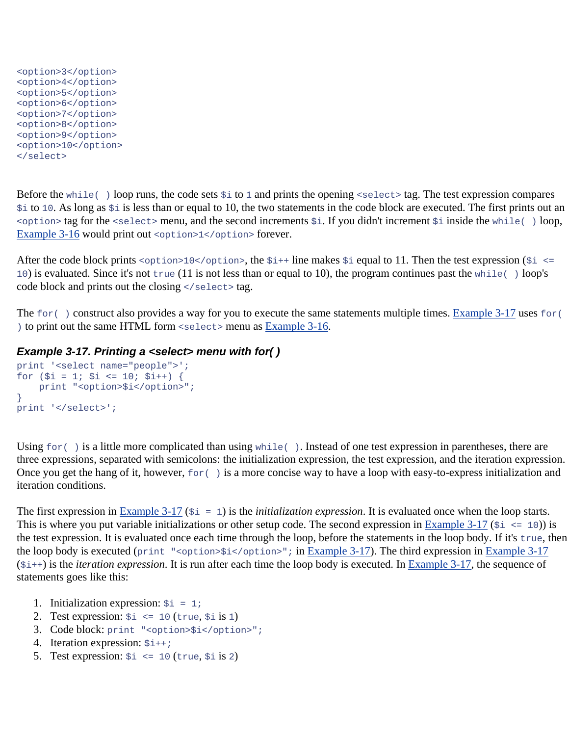```
<option>3</option> 
<option>4</option> 
<option>5</option> 
<option>6</option> 
<option>7</option> 
<option>8</option> 
<option>9</option> 
<option>10</option> 
</select>
```
Before the while() loop runs, the code sets  $\sin$  to 1 and prints the opening <select> tag. The test expression compares \$i to 10. As long as \$i is less than or equal to 10, the two statements in the code block are executed. The first prints out an <option> tag for the <select> menu, and the second increments \$i. If you didn't increment \$i inside the while( ) loop, Example 3-16 would print out <option>1</option>forever.

After the code block prints <option>10</option>, the  $\sin + i$  line makes  $\sin i$  equal to 11. Then the test expression ( $\sin < i$ 10) is evaluated. Since it's not true (11 is not less than or equal to 10), the program continues past the while( ) loop's code block and prints out the closing </select>tag.

The  $for( )$  construct also provides a way for you to execute the same statements multiple times. Example 3-17 uses  $for($ ) to print out the same HTML form <select> menu as Example 3-16.

## *Example 3-17. Printing a <select> menu with for( )*

```
print '<select name="people">'; 
for (\$i = 1; \$i \le 10; \$i++) {
    print "<option>$i</option>";
} 
print '</select>';
```
Using  $for( )$  is a little more complicated than using while(). Instead of one test expression in parentheses, there are three expressions, separated with semicolons: the initialization expression, the test expression, and the iteration expression. Once you get the hang of it, however,  $for( )$  is a more concise way to have a loop with easy-to-express initialization and iteration conditions.

The first expression in Example 3-17 (\$i = 1) is the *initialization expression*. It is evaluated once when the loop starts. This is where you put variable initializations or other setup code. The second expression in **Example 3-17** ( $\sin \left( \sin \left( \frac{1}{2} \right) \right)$  is the test expression. It is evaluated once each time through the loop, before the statements in the loop body. If it's true, then the loop body is executed (print "<option>\$i</option>"; in Example 3-17). The third expression in Example 3-17  $(\frac{\xi_{1++}}{\xi_{1++}})$  is the *iteration expression*. It is run after each time the loop body is executed. In Example 3-17, the sequence of statements goes like this:

- 1. Initialization expression:  $\sin = 1$ ;
- 2. Test expression:  $\sin z = 10$  (true,  $\sin z$ )
- 3. Code block: print "<option>\$i</option>";
- 4. Iteration expression:  $\sin x + i$
- 5. Test expression:  $\sin \left( z \right) = 10$  (true,  $\sin 2$ )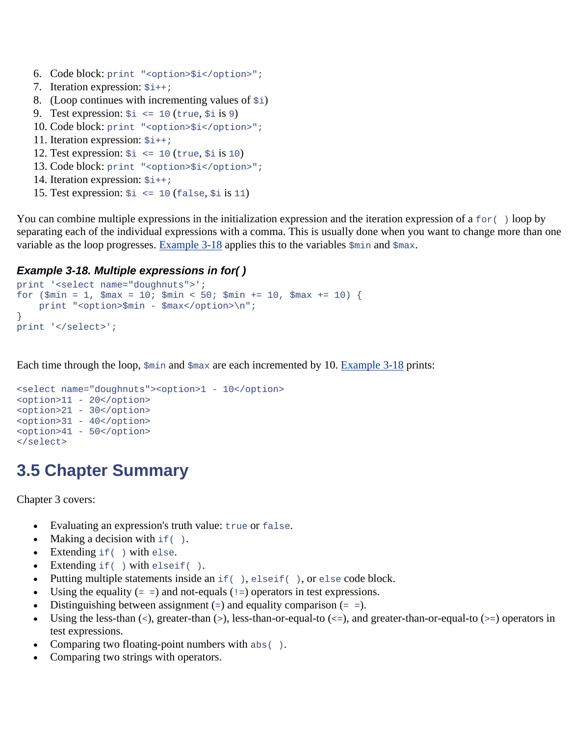- 6. Code block: print "<option>\$i</option>";
- 7. Iteration expression:  $\sin \frac{1}{2}$
- 8. (Loop continues with incrementing values of  $\sin$ )
- 9. Test expression:  $\sin \leq 10$  (true,  $\sin 9$ )
- 10. Code block: print "<option>\$i</option>";
- 11. Iteration expression:  $\sin x + i$
- 12. Test expression:  $\sin \leq 10$  (true,  $\sin 10$ )
- 13. Code block: print "<option>\$i</option>";
- 14. Iteration expression:  $\sin x + i$
- 15. Test expression:  $\sin \zeta = 10$  (false,  $\sin \zeta = 11$ )

You can combine multiple expressions in the initialization expression and the iteration expression of a  $f \circ r$   $\rightarrow$  loop by separating each of the individual expressions with a comma. This is usually done when you want to change more than one variable as the loop progresses. Example  $3-18$  applies this to the variables  $\sin$  and  $\sin$  ax.

## *Example 3-18. Multiple expressions in for( )*

```
print '<select name="doughnuts">'; 
for (\frac{1}{2}min = 1, \frac{1}{2}max = 10; \frac{1}{2}min < 50; \frac{1}{2}min += 10, \frac{1}{2}max += 10) print "<option>$min - $max</option>\n"; 
} 
print '</select>';
```
Each time through the loop,  $\sin$  and  $\sin x$  are each incremented by 10. Example 3-18 prints:

```
<select name="doughnuts"><option>1 - 10</option> 
<option>11 - 20</option> 
<option>21 - 30</option> 
<option>31 - 40</option> 
<option>41 - 50</option> 
</select>
```
# **3.5 Chapter Summary**

Chapter 3 covers:

- Evaluating an expression's truth value: true or false.
- Making a decision with  $if( )$ .
- Extending if( ) with else.
- Extending if( ) with elseif( ).
- Putting multiple statements inside an if ( ), elseif( ), or else code block.
- Using the equality  $(= )$  and not-equals  $( ) = )$  operators in test expressions.
- Distinguishing between assignment  $(=)$  and equality comparison  $(==).$
- Using the less-than  $(\le)$ , greater-than  $(\ge)$ , less-than-or-equal-to  $(\le)$ , and greater-than-or-equal-to  $(\ge)$  operators in test expressions.
- Comparing two floating-point numbers with  $abs( )$ .
- Comparing two strings with operators.